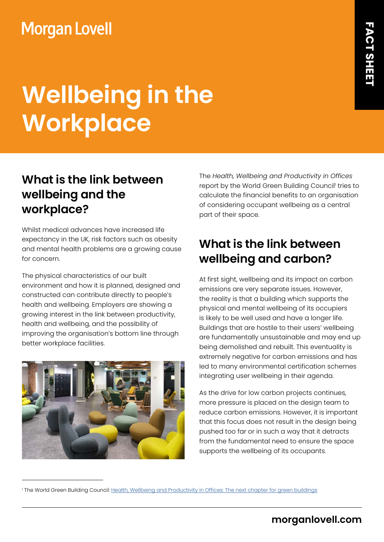## **Morgan Lovell**

# **Wellbeing in the Workplace**

#### **What is the link between wellbeing and the workplace?**

Whilst medical advances have increased life expectancy in the UK, risk factors such as obesity and mental health problems are a growing cause for concern.

The physical characteristics of our built environment and how it is planned, designed and constructed can contribute directly to people's health and wellbeing. Employers are showing a growing interest in the link between productivity, health and wellbeing, and the possibility of improving the organisation's bottom line through better workplace facilities.

The *Health, Wellbeing and Productivity in Offices* report by the World Green Building Council<sup>i</sup> tries to calculate the financial benefits to an organisation of considering occupant wellbeing as a central part of their space.

### **What is the link between wellbeing and carbon?**

At first sight, wellbeing and its impact on carbon emissions are very separate issues. However, the reality is that a building which supports the physical and mental wellbeing of its occupiers is likely to be well used and have a longer life. Buildings that are hostile to their users' wellbeing are fundamentally unsustainable and may end up being demolished and rebuilt. This eventuality is extremely negative for carbon emissions and has led to many environmental certification schemes integrating user wellbeing in their agenda.

As the drive for low carbon projects continues, more pressure is placed on the design team to reduce carbon emissions. However, it is important that this focus does not result in the design being pushed too far or in such a way that it detracts from the fundamental need to ensure the space supports the wellbeing of its occupants.

<sup>1</sup> The World Green Building Council: <u>Health, Wellbeing and Productivity in Offices: The next chapter for green buildings</u>

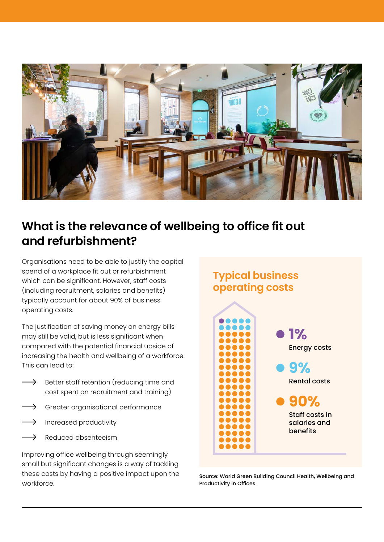

### **What is the relevance of wellbeing to office fit out and refurbishment?**

Organisations need to be able to justify the capital spend of a workplace fit out or refurbishment which can be significant. However, staff costs (including recruitment, salaries and benefits) typically account for about 90% of business operating costs.

The justification of saving money on energy bills may still be valid, but is less significant when compared with the potential financial upside of increasing the health and wellbeing of a workforce. This can lead to:

- $\rightarrow$  Better staff retention (reducing time and cost spent on recruitment and training)
- $\rightarrow$  Greater organisational performance
- $\rightarrow$  Increased productivity
- Reduced absenteeism

Improving office wellbeing through seemingly small but significant changes is a way of tackling these costs by having a positive impact upon the workforce.



Source: World Green Building Council Health, Wellbeing and Productivity in Offices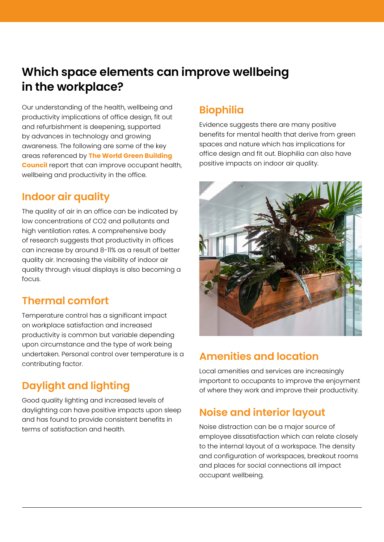#### **Which space elements can improve wellbeing in the workplace?**

Our understanding of the health, wellbeing and productivity implications of office design, fit out and refurbishment is deepening, supported by advances in technology and growing awareness. The following are some of the key areas referenced by **[The World Green Building](https://www.worldgbc.org/sites/default/files/compressed_WorldGBC_Health_Wellbeing__Productivity_Full_Report_Dbl_Med_Res_Feb_2015.pdf)  [Council](https://www.worldgbc.org/sites/default/files/compressed_WorldGBC_Health_Wellbeing__Productivity_Full_Report_Dbl_Med_Res_Feb_2015.pdf)** report that can improve occupant health, wellbeing and productivity in the office.

#### **Indoor air quality**

The quality of air in an office can be indicated by low concentrations of CO2 and pollutants and high ventilation rates. A comprehensive body of research suggests that productivity in offices can increase by around 8-11% as a result of better quality air. Increasing the visibility of indoor air quality through visual displays is also becoming a focus.

#### **Thermal comfort**

Temperature control has a significant impact on workplace satisfaction and increased productivity is common but variable depending upon circumstance and the type of work being undertaken. Personal control over temperature is a contributing factor.

#### **Daylight and lighting**

Good quality lighting and increased levels of daylighting can have positive impacts upon sleep and has found to provide consistent benefits in terms of satisfaction and health.

#### **Biophilia**

Evidence suggests there are many positive benefits for mental health that derive from green spaces and nature which has implications for office design and fit out. Biophilia can also have positive impacts on indoor air quality.



#### **Amenities and location**

Local amenities and services are increasingly important to occupants to improve the enjoyment of where they work and improve their productivity.

#### **Noise and interior layout**

Noise distraction can be a major source of employee dissatisfaction which can relate closely to the internal layout of a workspace. The density and configuration of workspaces, breakout rooms and places for social connections all impact occupant wellbeing.